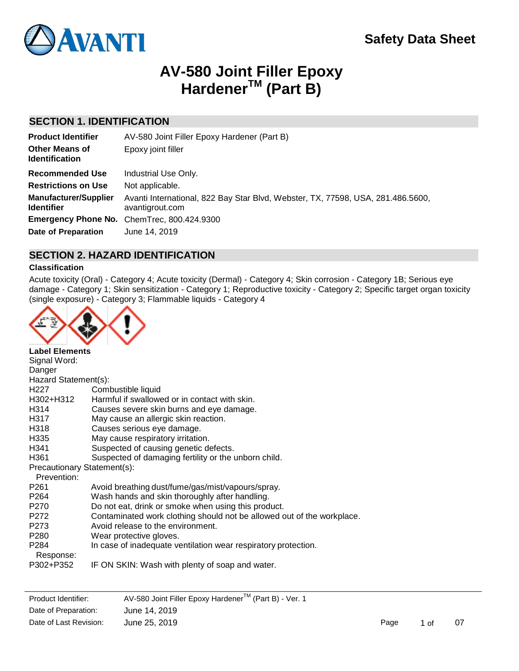

# **AV-580 Joint Filler Epoxy HardenerTM (Part B)**

# **SECTION 1. IDENTIFICATION**

| <b>Product Identifier</b>                         | AV-580 Joint Filler Epoxy Hardener (Part B)                                                        |
|---------------------------------------------------|----------------------------------------------------------------------------------------------------|
| <b>Other Means of</b><br><b>Identification</b>    | Epoxy joint filler                                                                                 |
| <b>Recommended Use</b>                            | Industrial Use Only.                                                                               |
| <b>Restrictions on Use</b>                        | Not applicable.                                                                                    |
| <b>Manufacturer/Supplier</b><br><b>Identifier</b> | Avanti International, 822 Bay Star Blvd, Webster, TX, 77598, USA, 281.486.5600,<br>avantigrout.com |
|                                                   | <b>Emergency Phone No.</b> ChemTrec, 800.424.9300                                                  |
| <b>Date of Preparation</b>                        | June 14, 2019                                                                                      |

# **SECTION 2. HAZARD IDENTIFICATION**

### **Classification**

Acute toxicity (Oral) - Category 4; Acute toxicity (Dermal) - Category 4; Skin corrosion - Category 1B; Serious eye damage - Category 1; Skin sensitization - Category 1; Reproductive toxicity - Category 2; Specific target organ toxicity (single exposure) - Category 3; Flammable liquids - Category 4



| <b>Label Elements</b>       |                                                                        |
|-----------------------------|------------------------------------------------------------------------|
| Signal Word:                |                                                                        |
| Danger                      |                                                                        |
| Hazard Statement(s):        |                                                                        |
| H <sub>22</sub> 7           | Combustible liquid                                                     |
| H302+H312                   | Harmful if swallowed or in contact with skin.                          |
| H314                        | Causes severe skin burns and eye damage.                               |
| H317                        | May cause an allergic skin reaction.                                   |
| H318                        | Causes serious eye damage.                                             |
| H335                        | May cause respiratory irritation.                                      |
| H341                        | Suspected of causing genetic defects.                                  |
| H <sub>361</sub>            | Suspected of damaging fertility or the unborn child.                   |
| Precautionary Statement(s): |                                                                        |
| Prevention:                 |                                                                        |
| P <sub>261</sub>            | Avoid breathing dust/fume/gas/mist/vapours/spray.                      |
| P <sub>264</sub>            | Wash hands and skin thoroughly after handling.                         |
| P270                        | Do not eat, drink or smoke when using this product.                    |
| P272                        | Contaminated work clothing should not be allowed out of the workplace. |
| P273                        | Avoid release to the environment.                                      |
| P <sub>280</sub>            | Wear protective gloves.                                                |
| P <sub>284</sub>            | In case of inadequate ventilation wear respiratory protection.         |
| P302+P352                   | IF ON SKIN: Wash with plenty of soap and water.                        |
| Response:                   |                                                                        |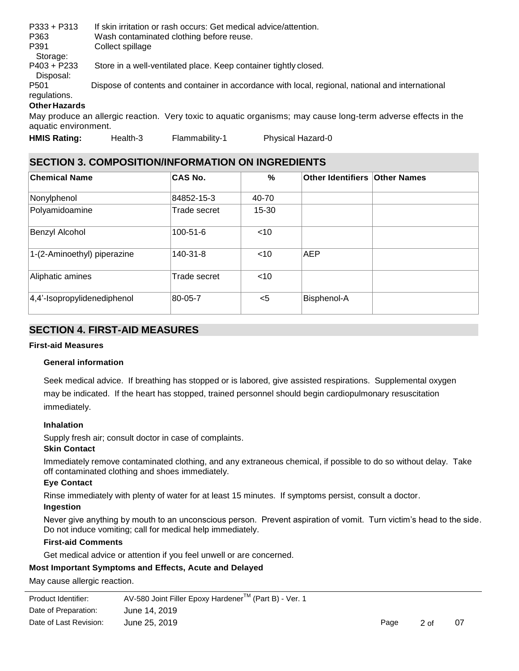| $P333 + P313$        | If skin irritation or rash occurs: Get medical advice/attention.                                            |
|----------------------|-------------------------------------------------------------------------------------------------------------|
| P363                 | Wash contaminated clothing before reuse.                                                                    |
| P391                 | Collect spillage                                                                                            |
| Storage:             |                                                                                                             |
| $P403 + P233$        | Store in a well-ventilated place. Keep container tightly closed.                                            |
| Disposal:            |                                                                                                             |
| P <sub>501</sub>     | Dispose of contents and container in accordance with local, regional, national and international            |
| regulations.         |                                                                                                             |
| <b>Other Hazards</b> |                                                                                                             |
|                      | Mou produce an ellergia resotion. Vanutovio te caustio ergenismou mou couse leng term educres effects in th |

May produce an allergic reaction. Very toxic to aquatic organisms; may cause long-term adverse effects in the aquatic environment.

**HMIS Rating:** Health-3 Flammability-1 Physical Hazard-0

# **SECTION 3. COMPOSITION/INFORMATION ON INGREDIENTS**

| <b>Chemical Name</b>        | <b>CAS No.</b> | %         | Other Identifiers Other Names |  |
|-----------------------------|----------------|-----------|-------------------------------|--|
| Nonylphenol                 | 84852-15-3     | 40-70     |                               |  |
| Polyamidoamine              | Trade secret   | $15 - 30$ |                               |  |
| Benzyl Alcohol              | $100 - 51 - 6$ | $<$ 10    |                               |  |
| 1-(2-Aminoethyl) piperazine | 140-31-8       | $<$ 10    | <b>AEP</b>                    |  |
| Aliphatic amines            | Trade secret   | $<$ 10    |                               |  |
| 4,4'-Isopropylidenediphenol | 80-05-7        | $5$       | Bisphenol-A                   |  |

# **SECTION 4. FIRST-AID MEASURES**

# **First-aid Measures**

# **General information**

Seek medical advice. If breathing has stopped or is labored, give assisted respirations. Supplemental oxygen may be indicated. If the heart has stopped, trained personnel should begin cardiopulmonary resuscitation immediately.

# **Inhalation**

Supply fresh air; consult doctor in case of complaints.

#### **Skin Contact**

Immediately remove contaminated clothing, and any extraneous chemical, if possible to do so without delay. Take off contaminated clothing and shoes immediately.

# **Eye Contact**

Rinse immediately with plenty of water for at least 15 minutes. If symptoms persist, consult a doctor.

#### **Ingestion**

Never give anything by mouth to an unconscious person. Prevent aspiration of vomit. Turn victim's head to the side. Do not induce vomiting; call for medical help immediately.

# **First-aid Comments**

Get medical advice or attention if you feel unwell or are concerned.

# **Most Important Symptoms and Effects, Acute and Delayed**

May cause allergic reaction.

| Product Identifier:    | AV-580 Joint Filler Epoxy Hardener™ (Part B) - Ver. 1 |      |      |    |
|------------------------|-------------------------------------------------------|------|------|----|
| Date of Preparation:   | June 14, 2019                                         |      |      |    |
| Date of Last Revision: | June 25, 2019                                         | Page | 2 of | 07 |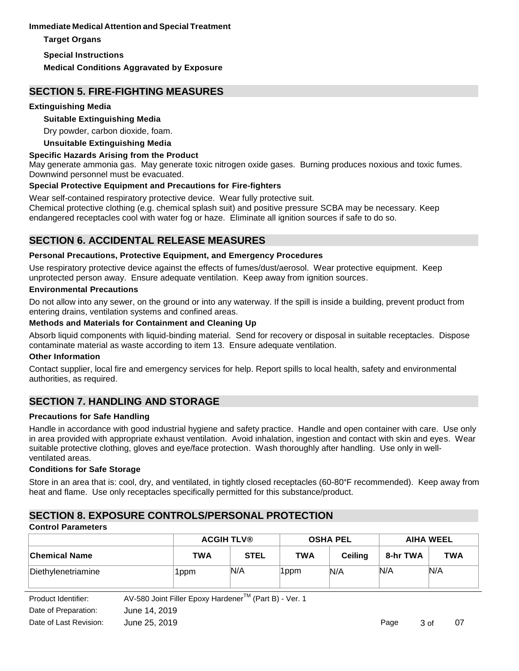# **Immediate Medical Attention and Special Treatment**

**Target Organs**

**Special Instructions**

**Medical Conditions Aggravated by Exposure**

# **SECTION 5. FIRE-FIGHTING MEASURES**

### **Extinguishing Media**

# **Suitable Extinguishing Media**

Dry powder, carbon dioxide, foam.

### **Unsuitable Extinguishing Media**

### **Specific Hazards Arising from the Product**

May generate ammonia gas. May generate toxic nitrogen oxide gases. Burning produces noxious and toxic fumes. Downwind personnel must be evacuated.

### **Special Protective Equipment and Precautions for Fire-fighters**

Wear self-contained respiratory protective device. Wear fully protective suit.

Chemical protective clothing (e.g. chemical splash suit) and positive pressure SCBA may be necessary. Keep endangered receptacles cool with water fog or haze. Eliminate all ignition sources if safe to do so.

# **SECTION 6. ACCIDENTAL RELEASE MEASURES**

### **Personal Precautions, Protective Equipment, and Emergency Procedures**

Use respiratory protective device against the effects of fumes/dust/aerosol. Wear protective equipment. Keep unprotected person away. Ensure adequate ventilation. Keep away from ignition sources.

### **Environmental Precautions**

Do not allow into any sewer, on the ground or into any waterway. If the spill is inside a building, prevent product from entering drains, ventilation systems and confined areas.

### **Methods and Materials for Containment and Cleaning Up**

Absorb liquid components with liquid-binding material. Send for recovery or disposal in suitable receptacles. Dispose contaminate material as waste according to item 13. Ensure adequate ventilation.

#### **Other Information**

Contact supplier, local fire and emergency services for help. Report spills to local health, safety and environmental authorities, as required.

# **SECTION 7. HANDLING AND STORAGE**

#### **Precautions for Safe Handling**

Handle in accordance with good industrial hygiene and safety practice. Handle and open container with care. Use only in area provided with appropriate exhaust ventilation. Avoid inhalation, ingestion and contact with skin and eyes. Wear suitable protective clothing, gloves and eye/face protection. Wash thoroughly after handling. Use only in wellventilated areas.

# **Conditions for Safe Storage**

Store in an area that is: cool, dry, and ventilated, in tightly closed receptacles (60-80°F recommended). Keep away from heat and flame. Use only receptacles specifically permitted for this substance/product.

# **SECTION 8. EXPOSURE CONTROLS/PERSONAL PROTECTION**

# **Control Parameters**

|                    | <b>ACGIH TLV®</b> |             | <b>OSHA PEL</b> |                | <b>AIHA WEEL</b> |            |
|--------------------|-------------------|-------------|-----------------|----------------|------------------|------------|
| ∣Chemical Name     | <b>TWA</b>        | <b>STEL</b> | <b>TWA</b>      | <b>Ceiling</b> | 8-hr TWA         | <b>TWA</b> |
| Diethylenetriamine | 1ppm              | N/A         | '1ppm           | N/A            | N/A              | N/A        |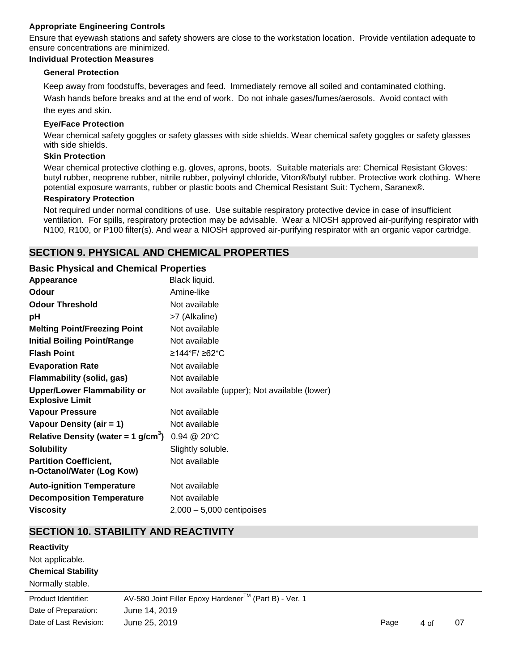# **Appropriate Engineering Controls**

Ensure that eyewash stations and safety showers are close to the workstation location. Provide ventilation adequate to ensure concentrations are minimized.

#### **Individual Protection Measures**

#### **General Protection**

Keep away from foodstuffs, beverages and feed. Immediately remove all soiled and contaminated clothing. Wash hands before breaks and at the end of work. Do not inhale gases/fumes/aerosols. Avoid contact with the eyes and skin.

#### **Eye/Face Protection**

Wear chemical safety goggles or safety glasses with side shields. Wear chemical safety goggles or safety glasses with side shields.

# **Skin Protection**

Wear chemical protective clothing e.g. gloves, aprons, boots. Suitable materials are: Chemical Resistant Gloves: butyl rubber, neoprene rubber, nitrile rubber, polyvinyl chloride, Viton®/butyl rubber. Protective work clothing. Where potential exposure warrants, rubber or plastic boots and Chemical Resistant Suit: Tychem, Saranex®.

#### **Respiratory Protection**

Not required under normal conditions of use. Use suitable respiratory protective device in case of insufficient ventilation. For spills, respiratory protection may be advisable. Wear a NIOSH approved air-purifying respirator with N100, R100, or P100 filter(s). And wear a NIOSH approved air-purifying respirator with an organic vapor cartridge.

# **SECTION 9. PHYSICAL AND CHEMICAL PROPERTIES**

### **Basic Physical and Chemical Properties**

| Appearance                                                   | Black liquid.                                |
|--------------------------------------------------------------|----------------------------------------------|
| <b>Odour</b>                                                 | Amine-like                                   |
| <b>Odour Threshold</b>                                       | Not available                                |
| рH                                                           | >7 (Alkaline)                                |
| <b>Melting Point/Freezing Point</b>                          | Not available                                |
| <b>Initial Boiling Point/Range</b>                           | Not available                                |
| <b>Flash Point</b>                                           | ≥144°F/ ≥62°C                                |
| <b>Evaporation Rate</b>                                      | Not available                                |
| <b>Flammability (solid, gas)</b>                             | Not available                                |
| <b>Upper/Lower Flammability or</b><br><b>Explosive Limit</b> | Not available (upper); Not available (lower) |
| <b>Vapour Pressure</b>                                       | Not available                                |
| Vapour Density (air = 1)                                     | Not available                                |
| Relative Density (water = 1 $g/cm^{3}$ )                     | 0.94 @ 20°C                                  |
| <b>Solubility</b>                                            | Slightly soluble.                            |
| <b>Partition Coefficient,</b><br>n-Octanol/Water (Log Kow)   | Not available                                |
| <b>Auto-ignition Temperature</b>                             | Not available                                |
| <b>Decomposition Temperature</b>                             | Not available                                |
| <b>Viscositv</b>                                             | $2,000-5,000$ centipoises                    |

# **SECTION 10. STABILITY AND REACTIVITY**

| <b>Reactivity</b>         |                                                       |      |      |    |
|---------------------------|-------------------------------------------------------|------|------|----|
| Not applicable.           |                                                       |      |      |    |
| <b>Chemical Stability</b> |                                                       |      |      |    |
| Normally stable.          |                                                       |      |      |    |
| Product Identifier:       | AV-580 Joint Filler Epoxy Hardener™ (Part B) - Ver. 1 |      |      |    |
| Date of Preparation:      | June 14, 2019                                         |      |      |    |
| Date of Last Revision:    | June 25, 2019                                         | Page | 4 of | 07 |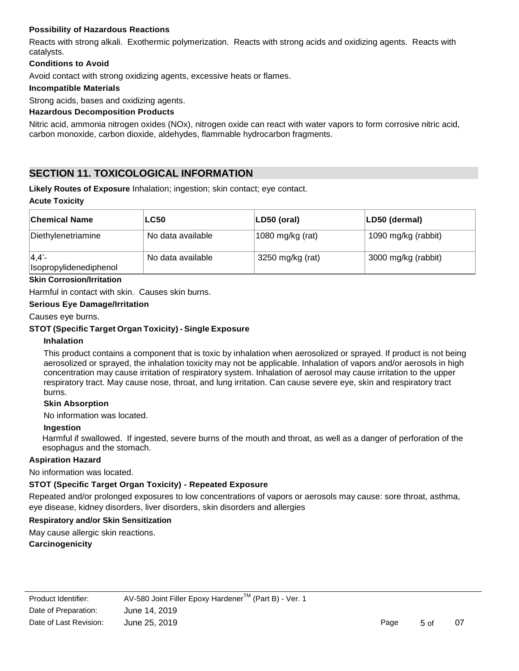# **Possibility of Hazardous Reactions**

Reacts with strong alkali. Exothermic polymerization. Reacts with strong acids and oxidizing agents. Reacts with catalysts.

### **Conditions to Avoid**

Avoid contact with strong oxidizing agents, excessive heats or flames.

### **Incompatible Materials**

Strong acids, bases and oxidizing agents.

### **Hazardous Decomposition Products**

Nitric acid, ammonia nitrogen oxides (NOx), nitrogen oxide can react with water vapors to form corrosive nitric acid, carbon monoxide, carbon dioxide, aldehydes, flammable hydrocarbon fragments.

# **SECTION 11. TOXICOLOGICAL INFORMATION**

**Likely Routes of Exposure** Inhalation; ingestion; skin contact; eye contact.

#### **Acute Toxicity**

| <b>Chemical Name</b>               | <b>LC50</b>       | LD50 (oral)      | LD50 (dermal)       |
|------------------------------------|-------------------|------------------|---------------------|
| Diethylenetriamine                 | No data available | 1080 mg/kg (rat) | 1090 mg/kg (rabbit) |
| $ 4,4'-$<br>Isopropylidenediphenol | No data available | 3250 mg/kg (rat) | 3000 mg/kg (rabbit) |

#### **Skin Corrosion/Irritation**

Harmful in contact with skin. Causes skin burns.

#### **Serious Eye Damage/Irritation**

Causes eye burns.

### **STOT (Specific Target Organ Toxicity) - Single Exposure**

#### **Inhalation**

This product contains a component that is toxic by inhalation when aerosolized or sprayed. If product is not being aerosolized or sprayed, the inhalation toxicity may not be applicable. Inhalation of vapors and/or aerosols in high concentration may cause irritation of respiratory system. Inhalation of aerosol may cause irritation to the upper respiratory tract. May cause nose, throat, and lung irritation. Can cause severe eye, skin and respiratory tract burns.

#### **Skin Absorption**

No information was located.

#### **Ingestion**

Harmful if swallowed. If ingested, severe burns of the mouth and throat, as well as a danger of perforation of the esophagus and the stomach.

#### **Aspiration Hazard**

No information was located.

#### **STOT (Specific Target Organ Toxicity) - Repeated Exposure**

Repeated and/or prolonged exposures to low concentrations of vapors or aerosols may cause: sore throat, asthma, eye disease, kidney disorders, liver disorders, skin disorders and allergies

#### **Respiratory and/or Skin Sensitization**

May cause allergic skin reactions.

**Carcinogenicity**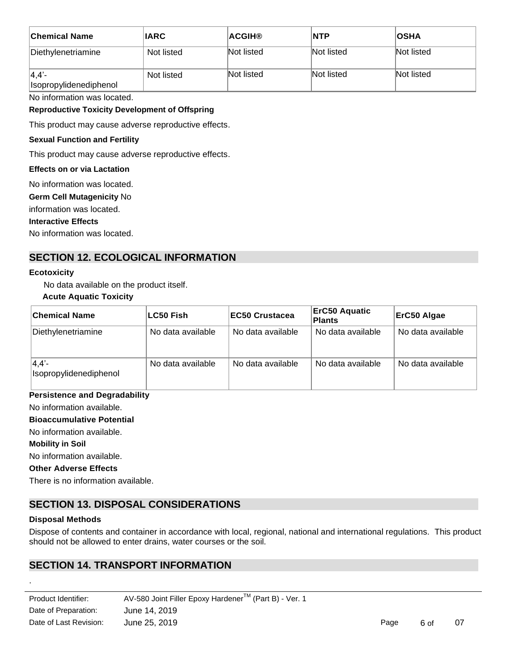| ∣Chemical Name                  | <b>IARC</b> | <b>ACGIH®</b> | <b>NTP</b> | <b>IOSHA</b> |
|---------------------------------|-------------|---------------|------------|--------------|
| Diethylenetriamine              | Not listed  | Not listed    | Not listed | Not listed   |
| 4,4'-<br>Isopropylidenediphenol | Not listed  | Not listed    | Not listed | Not listed   |

No information was located.

#### **Reproductive Toxicity Development of Offspring**

This product may cause adverse reproductive effects.

### **Sexual Function and Fertility**

This product may cause adverse reproductive effects.

#### **Effects on or via Lactation**

No information was located.

**Germ Cell Mutagenicity** No

information was located.

#### **Interactive Effects**

No information was located.

# **SECTION 12. ECOLOGICAL INFORMATION**

#### **Ecotoxicity**

No data available on the product itself.

#### **Acute Aquatic Toxicity**

| <b>Chemical Name</b>               | ∣LC50 Fish        | <b>EC50 Crustacea</b> | <b>ErC50 Aquatic</b><br>Plants | ErC50 Algae       |
|------------------------------------|-------------------|-----------------------|--------------------------------|-------------------|
| Diethylenetriamine                 | No data available | No data available     | No data available              | No data available |
| $ 4,4'-$<br>Isopropylidenediphenol | No data available | No data available     | No data available              | No data available |

### **Persistence and Degradability**

No information available.

### **Bioaccumulative Potential**

No information available.

#### **Mobility in Soil**

No information available.

#### **Other Adverse Effects**

There is no information available.

# **SECTION 13. DISPOSAL CONSIDERATIONS**

#### **Disposal Methods**

.

Dispose of contents and container in accordance with local, regional, national and international regulations. This product should not be allowed to enter drains, water courses or the soil.

# **SECTION 14. TRANSPORT INFORMATION**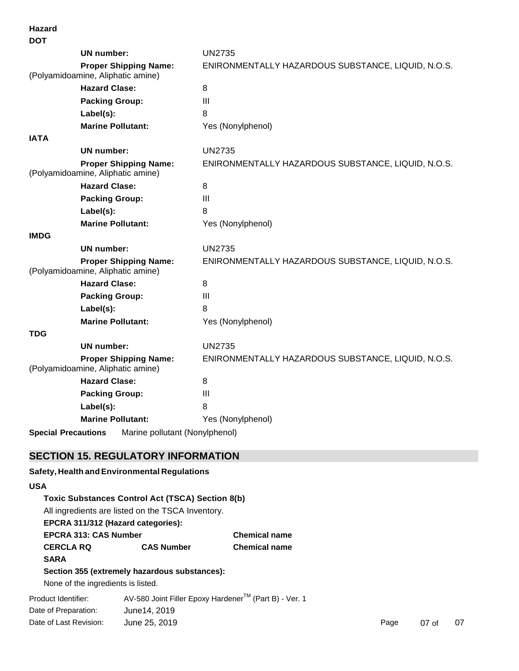| <b>DOT</b>  |                                                                   |                                                    |
|-------------|-------------------------------------------------------------------|----------------------------------------------------|
|             | UN number:                                                        | <b>UN2735</b>                                      |
|             | <b>Proper Shipping Name:</b><br>(Polyamidoamine, Aliphatic amine) | ENIRONMENTALLY HAZARDOUS SUBSTANCE, LIQUID, N.O.S. |
|             | <b>Hazard Clase:</b>                                              | 8                                                  |
|             | <b>Packing Group:</b>                                             | III                                                |
|             | Label(s):                                                         | 8                                                  |
|             | <b>Marine Pollutant:</b>                                          | Yes (Nonylphenol)                                  |
| <b>IATA</b> |                                                                   |                                                    |
|             | <b>UN</b> number:                                                 | <b>UN2735</b>                                      |
|             | <b>Proper Shipping Name:</b><br>(Polyamidoamine, Aliphatic amine) | ENIRONMENTALLY HAZARDOUS SUBSTANCE, LIQUID, N.O.S. |
|             | <b>Hazard Clase:</b>                                              | 8                                                  |
|             | <b>Packing Group:</b>                                             | III                                                |
|             | Label(s):                                                         | 8                                                  |
|             | <b>Marine Pollutant:</b>                                          | Yes (Nonylphenol)                                  |
| <b>IMDG</b> |                                                                   |                                                    |
|             | <b>UN number:</b>                                                 | <b>UN2735</b>                                      |
|             | <b>Proper Shipping Name:</b><br>(Polyamidoamine, Aliphatic amine) | ENIRONMENTALLY HAZARDOUS SUBSTANCE, LIQUID, N.O.S. |
|             | <b>Hazard Clase:</b>                                              | 8                                                  |
|             | <b>Packing Group:</b>                                             | Ш                                                  |
|             | Label(s):                                                         | 8                                                  |
|             | <b>Marine Pollutant:</b>                                          | Yes (Nonylphenol)                                  |
| <b>TDG</b>  |                                                                   |                                                    |
|             | <b>UN number:</b>                                                 | <b>UN2735</b>                                      |
|             | <b>Proper Shipping Name:</b><br>(Polyamidoamine, Aliphatic amine) | ENIRONMENTALLY HAZARDOUS SUBSTANCE, LIQUID, N.O.S. |
|             | <b>Hazard Clase:</b>                                              | 8                                                  |
|             | <b>Packing Group:</b>                                             | III                                                |
|             | Label(s):                                                         | 8                                                  |
|             | <b>Marine Pollutant:</b>                                          | Yes (Nonylphenol)                                  |

**Special Precautions** Marine pollutant (Nonylphenol)

# **SECTION 15. REGULATORY INFORMATION**

Date of Last Revision:

**Hazard**

# Product Identifier: Date of Preparation: AV-580 Joint Filler Epoxy Hardener™ (Part B) - Ver. 1 June14, 2019 **Safety, Health andEnvironmental Regulations USA Toxic Substances Control Act (TSCA) Section 8(b)** All ingredients are listed on the TSCA Inventory. **EPCRA 311/312 (Hazard categories): EPCRA 313: CAS Number Chemical name CERCLA RQ CAS Number Chemical name SARA Section 355 (extremely hazardous substances):** None of the ingredients is listed.

June 25, 2019 **Page 19th Contract Contract Contract Contract Contract Contract Contract Contract Contract Contract Contract Contract Contract Contract Contract Contract Contract Contract Contract Contract Contract Contract**